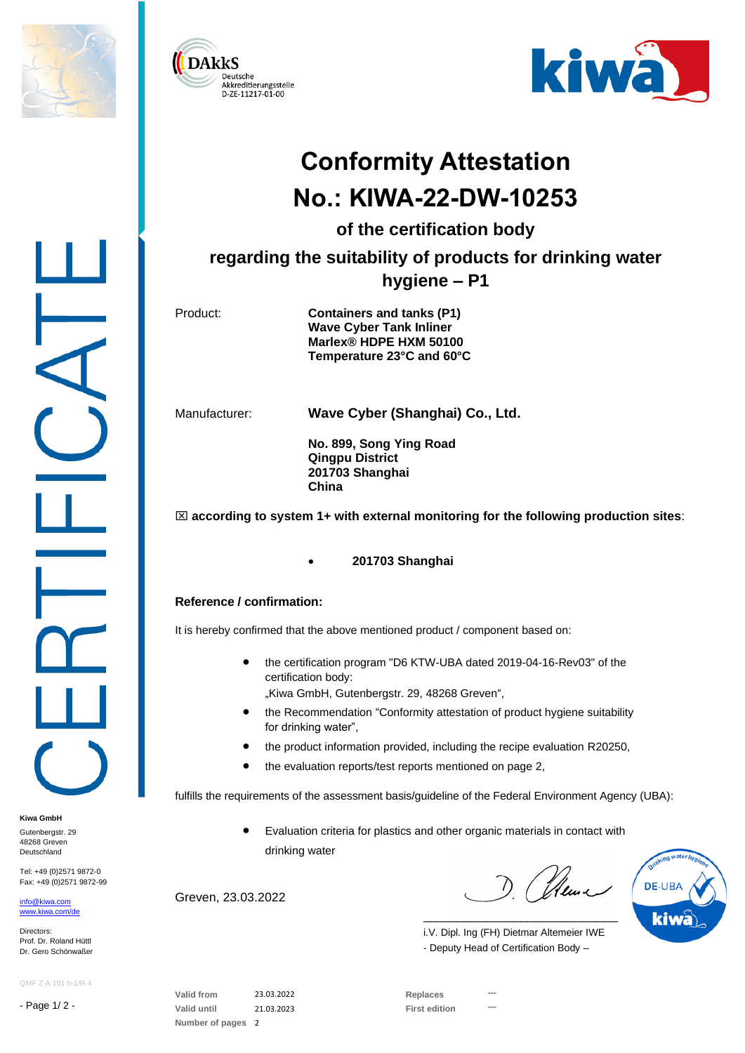





## **Conformity Attestation No.: KIWA-22-DW-10253**

**of the certification body**

**regarding the suitability of products for drinking water hygiene – P1**

Product: **Containers and tanks (P1) Wave Cyber Tank Inliner Marlex® HDPE HXM 50100 Temperature 23°C and 60°C**

Manufacturer: **Wave Cyber (Shanghai) Co., Ltd.**

**No. 899, Song Ying Road Qingpu District 201703 Shanghai China**

 $\boxtimes$  according to system 1+ with external monitoring for the following production sites:

• **201703 Shanghai**

## **Reference / confirmation:**

It is hereby confirmed that the above mentioned product / component based on:

• the certification program "D6 KTW-UBA dated 2019-04-16-Rev03" of the certification body:

"Kiwa GmbH, Gutenbergstr. 29, 48268 Greven",

- the Recommendation "Conformity attestation of product hygiene suitability for drinking water",
- the product information provided, including the recipe evaluation R20250,
- the evaluation reports/test reports mentioned on page 2,

fulfills the requirements of the assessment basis/guideline of the Federal Environment Agency (UBA):

• Evaluation criteria for plastics and other organic materials in contact with drinking water

Greven, 23.03.2022

(Henri



i.V. Dipl. Ing (FH) Dietmar Altemeier IWE - Deputy Head of Certification Body –

\_\_\_\_\_\_\_\_\_\_\_\_\_\_\_\_\_\_\_\_\_\_\_\_\_\_\_\_

QMF Z A 101 h-1/R.4

Tel: +49 (0)2571 9872-0 Fax: +49 (0)2571 9872-99

- Page 1/ 2 -

**Kiwa GmbH** Gutenbergstr, 29 48268 Greven Deutschland

[info@kiwa.com](mailto:info@kiwa.com) [www.kiwa.com/d](http://www.kiwa.com/)e

Directors: Prof. Dr. Roland Hüttl Dr. Gero Schönwaßer

> **Valid from** 23.03.2022 **Replaces --- Valid until** 21.03.2023 **First edition --- Number of pages** 2